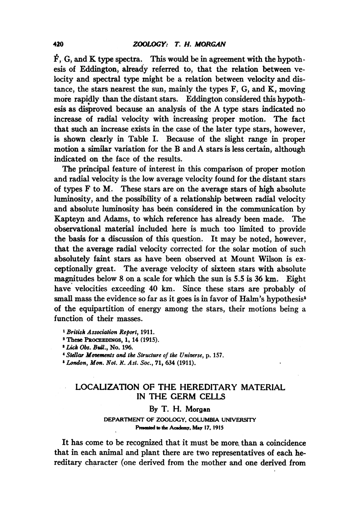$\dot{F}$ , G, and K type spectra. This would be in agreement with the hypothesis of Eddington, already referred to, that the relation between velocity and spectral type might be a relation between velocity and distance, the stars nearest the sun, mainly the types F, G, and K, moving more rapidly than the distant stars. Eddington considered this hypothesis as disproved because an analysis of the A type stars indicated no increase of radial velocity with increasing proper motion. The fact that such an increase exists in the case of the later type stars, however, is shown clearly in Table I. Because of the slight range in proper motion <sup>a</sup> similar variation for the B and A stars is less certain, although indicated on the face of the results.

The principal feature of interest in this comparison of proper motion and radial velocity is the low average velocity found for the distant stars of types F to M. These stars are on the average stars of high absolute luminosity, and the possibility of a relationship between radial velocity and absolute luminosity has been considered in the communication by Kapteyn and Adams, to which reference has already been made. The observational material included here is much too limited to provide the basis for a discussion of this question. It may be noted, however, that the average radial velocity corrected for the solar motion of such absolutely faint stars as have been observed at Mount Wilson is exceptionally great. The average velocity of sixteen stars with absolute magnitudes below 8 on a scale for which the sun is 5.5 is 36 km. Eight have velocities exceeding 40 km. Since these stars are probably of small mass the evidence so far as it goes is in favor of Halm's hypothesis<sup>5</sup> of the equipartition of energy among the stars, their motions being a function of their masses.

<sup>1</sup> Britisk Association Report, 1911.

2These PROCEEDINGS, 1, 14 (1915).

<sup>8</sup> Lick Obs. Bull., No. 196.

<sup>4</sup> Stellar Moements and the Structure of the Universe, p. 157.

<sup>s</sup> London, Mon. Not. K. Ast. Soc., 71, 634 (1911).

# LOCALIZATION OF THE HEREDITARY MATERIAL IN THE GERM CELLS

### By T. H. Morgan

DEPARTMENT OF ZOOLOGY, COLUMBIA UNIVERSITY Presented to the Academy, May 17, 1915

It has come to be recognized that it must be more than a coincidence that in each animal and plant there are two representatives of each hereditary character (one derived from the mother and one derived from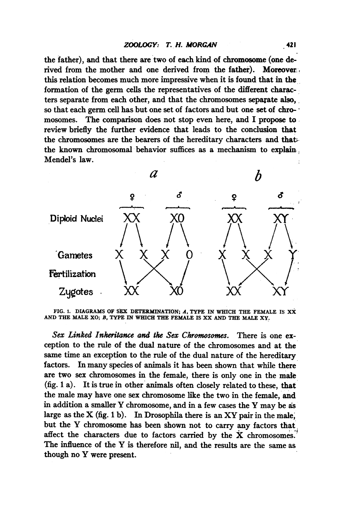the father), and that there are two of each kind of chromosome (one derived from the mother and one derived from the father). Moreoverthis relation becomes much more impressive when it is found that in the formation of the germ cells the representatives of the different characters separate from each other, and that the chromosomes separate also, so that each germ cell has but one set of factors and but one set of chromosomes. The comparison does not stop even here, and I propose to review briefly the further evidence that leads to the conclusion that the chromosomes are the bearers of the hereditary characters and that. the known chromosomal behavior suffices as a mechanism to explain Mendel's law.



FIG. 1. DIAGRAMS OF SEX DETERMINATION; A, TYPE IN WHICH THE FEMALE IS XX AND THE MALE XO; B, TYPE IN WHICH THE FEMALE IS XX AND THE MALE XY.

Sex Linked Inheritance and the Sex Chromosomes. There is one exception to the rule of the dual nature of the chromosomes and at the same time an exception to the rule of the dual nature of the hereditary factors. In many species of animals it has been shown that while there are two sex chromosomes in the female, there is only one in the male (fig. <sup>1</sup> a). It is true in other animals often closely related to these, that the male may have one sex chromosome like the two in the female, and in addition <sup>a</sup> smaller Y chromosome, and in <sup>a</sup> few cases the Y may be as large as the  $X$  (fig. 1 b). In Drosophila there is an  $XY$  pair in the male, but the Y chromosome has been shown not to carry any factors that affect the characters due to factors carried by the X chromosomes. The influence of the Y is therefore nil, and the results are the same as though no Y were present.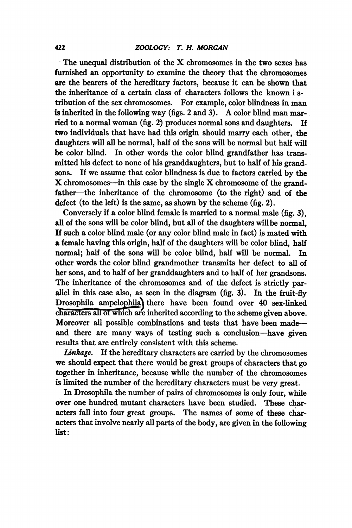The unequal distribution of the X chromosomes in the two sexes has furnished an opportunity to examine the theory that the chromosomes are the bearers of the hereditary factors, because it can be shown that the inheritance of a certain class of characters follows the known <sup>i</sup> stribution of the sex chromosomes. For example, color blindness in man is inherited in the following way (figs. 2 and 3). A color blind man mar-<br>ried to a normal woman (fig. 2) produces normal sons and daughters. If ried to a normal woman (fig. 2) produces normal sons and daughters. two individuals that have had this origin should marry each other, the daughters will all be normal, half of the sons will be normal but half will be color blind. In other words the color blind grandfather has transmitted his defect to none of his granddaughters, but to half of his grandsons. If we assume that color blindness is due to factors carried by the  $X$  chromosomes—in this case by the single  $X$  chromosome of the grandfather-the inheritance of the chromosome (to the right) and of the defect (to the left) is the same, as shown by the scheme (fig. 2).

Conversely if a color blind female is married to a normal male (fig. 3), all of the sons will be color blind, but all of the daughters willbe normal, If such a color blind male (or any color blind male in fact) is mated with a female having this origin, half of the daughters will be color blind, half normal; half of the sons will be color blind, half will be normal. In other words the color blind grandmother transmits her defect to all of her sons, and to half of her granddaughters and to half of her grandsons. The inheritance of the chromosomes and of the defect is strictly parallel in this case also, as seen in the diagram (fig. 3). In the fruit-fly Drosophila ampelophila) there have been found over 40 sex-linked characters all of which are inherited according to the scheme given above. Moreover all possible combinations and tests that have been madeand there are many ways of testing such a conclusion-have given results that are entirely consistent with this scheme.

Linkage. If the hereditary characters are carried by the chromosomes we should expect that there would be great groups of characters that go together in inheritance, because while the number of the chromosomes is limited the number of the hereditary characters must be very great.

In Drosophila the number of pairs of chromosomes is only four, while over one hundred mutant characters have been studied. These characters fall into four great groups. The names of some of these characters that involve nearly all parts of the body, are given in the following list: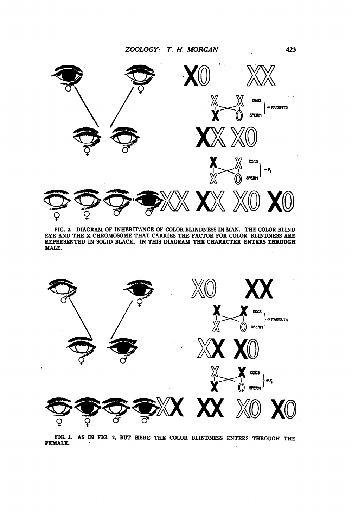

FIG. 2. DIAGRAM OF INHERITANCE OF COLOR BLINDNESS IN MAN. THE COLOR BLIND EYE AND THE X CHROMOSOME THAT CARRIES THE FACTOR FOR COLOR BLINDNESS ARE REPRESENTED IN SOLID BLACK. IN THIS DIAGRAM THE CHARACTER ENTERS THROUGH MALE.



FIG. 3. AS IN FIG. 2, BUT HERE THE COLOR BLINDNESS ENTERS THROUGH THE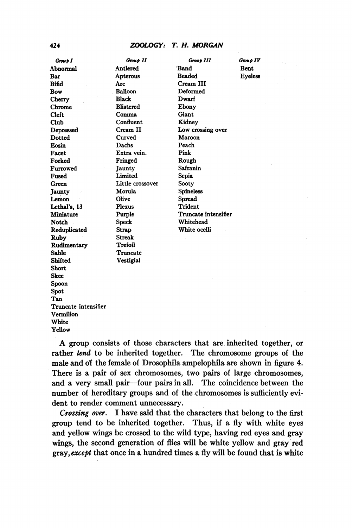#### ZOOLOGY: T. H. MORGAN

Group I Abnormal Bar Bifid Bow Cherry Chrome Cleft Club Depressed Dotted Eosin Facet Forked Furrowed Fused Green Jaunty Lemon Lethal's, 13 Miniature Notch Reduplicated Ruby Rudimentary Sable Shifted **Short** Skee Spoon Spot Tan Truncate intensifier Vermilion White Yellow

Group II Antlered Apterous Arc Balloon Black Blistered Comma **Confluent** Cream II Curved Dachs Extra vein. Fringed Jaunty Limited Little crossover Morula **Olive** Plexus Purple Speck Strap Streak Trefoil Truncate Vestigial

'Band Beaded Cream III Deformed Dwarf Ebony Giant Kidney Low crossing over Maroon Peach Pink Rough Safranin Sepia Sooty Spineless Spread Trident Truncate intensifier Whitehead White ocelli

Group III

Group IV Bent Eyeless

A group consists of those characters that are inherited together, or rather tend to be inherited together. The chromosome groups of the male and of the female of Drosophila ampelophila are shown in figure 4. There is a pair of sex chromosomes, two pairs of large chromosomes, and a very small pair-four pairs in all. The coincidence between the number of hereditary groups and of the chromosomes is sufficiently evident to render comment unnecessary.

Crossing over. <sup>I</sup> have said that the characters that belong to the first group tend to be inherited together. Thus, if a fly with white eyes and yellow wings be crossed to the wild type, having red eyes and gray wings, the second generation of flies will be white yellow and gray red gray, except that once in a hundred times a fly will be found that is white

424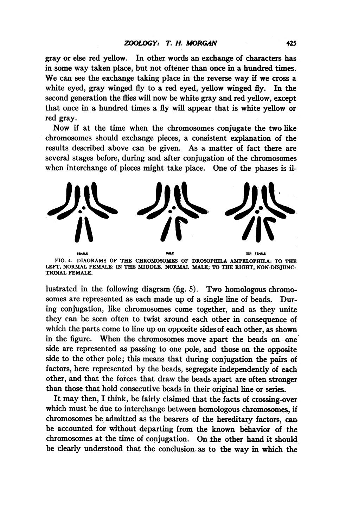gray or else red yellow. In other words an exchange of characters has in some way taken place, but not oftener than once in a hundred times. We can see the exchange taking place in the reverse way if we cross <sup>a</sup> white eyed, gray winged fly to a red eyed, yellow winged fly. In the second generation the flies will now be white gray and red yellow, except that once in a hundred times a fly will appear that is white yellow or red gray.

Now if at the time when the chromosomes conjugate the two like chromosomes should exchange pieces, a consistent explanation of the results described above can be given. As a matter of fact there are several stages before, during and after conjugation of the chromosomes when interchange of pieces might take place. One of the phases is il-



FIG. 4. DIAGRAMS OF THE CHROMOSOMES OF DROSOPHILA AMPELOPHILA: TO THE LEFT, NORMAL FEMALE; IN THE MIDDLE, NORMAL MALE; TO THE RIGHT, NON-DISJUNC-TIONAL FEMALE.

lustrated in the following diagram (fig. 5). Two homologous chromosomes are represented as each made up of <sup>a</sup> single line of beads. During conjugation, like chromosomes come together, and as they unite they can be seen often to twist around each other in consequence of which the parts come to line up on opposite sides of each other, as shown in the figure. When the chromosomes move apart the beads on one side are represented as passing to one pole, and those on the opposite side to the other pole; this means that during conjugation the pairs of factors, here represented by the beads, segregate independently of each other, and that the forces that draw the beads apart are often stronger than those that hold consecutive beads in their original line or series.

It may then, <sup>I</sup> think, be fairly claimed that the facts of crossing-over which must be due to interchange between homologous chromosomes, if chromosomes be admitted as the bearers of the hereditary factors, can be accounted for without departing from the known behavior of the chromosomes at the time of conjugation. On the other hand it should be clearly understood that the conclusion. as to the way in which the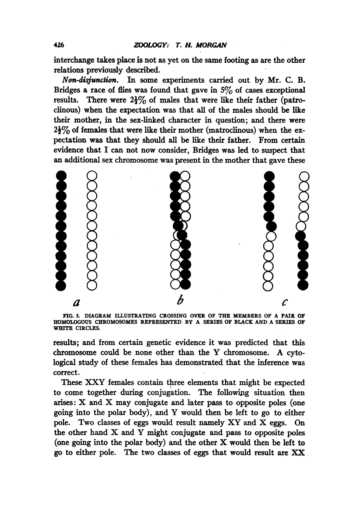interchange takes place is not as yet on the same footing as are the other relations previously described.

Non-disjunction. In some experiments carried out by Mr. C. B. Bridges a race of flies was found that gave in  $5\%$  of cases exceptional results. There were  $2\frac{1}{2}\%$  of males that were like their father (patroclinous) when the expectation was that all of the males should be like their mother, in the sex-linked character in question; and there were  $2\frac{1}{2}\%$  of females that were like their mother (matroclinous) when the expectation was that they should all be like their father. From certain evidence that <sup>I</sup> can not now consider, Bridges was led to suspect that an additional sex chromosome was present in the mother that gave these



FIG. 5. DIAGRAM ILLUSTRATING CROSSING OVER OF THE MEMBERS OF A PAIR OF HOMOLOGOUS CHROMOSOMES REPRESENTED BY A SERIES OF BLACK AND A SERIES OF WHITE CIRCLES.

results; and from certain genetic evidence it was predicted that this chromosome could be none other than the Y chromosome. A cytological study of these females has demonstrated that the inference was correct.

These XXY females contain three elements that might be expected to come together during conjugation. The following situation then arises: X and X may conjugate and later pass to opposite poles (one going into the polar body), and Y would then be left to go to either pole. Two classes of eggs would result namely XY and X eggs. On the other hand X and Y might conjugate and pass to opposite poles (one going into the polar body) and the other X would then be left to go to either pole. The two classes of eggs that would result are XX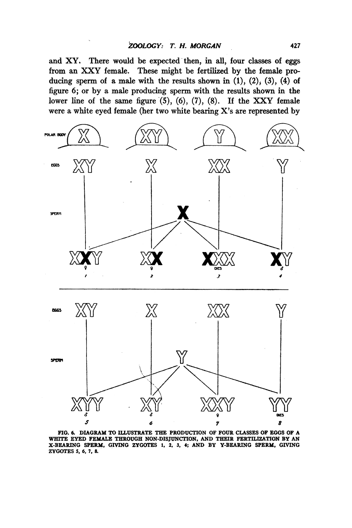and XY, There would be expected then, in all, four classes of eggs from an XXY female. These might be fertilized by the female producing sperm of a male with the results shown in  $(1)$ ,  $(2)$ ,  $(3)$ ,  $(4)$  of figure 6; or by a male producing sperm with the results shown in the lower line of the same figure  $(5)$ ,  $(6)$ ,  $(7)$ ,  $(8)$ . If the XXY female were <sup>a</sup> white eyed female (her two white bearing X's are represented by



FIG. 6. DIAGRAM TO ILLUSTRATE THE PRODUCTION OF FOUR CLASSES OF EGGS OF A WHITE EYED FEMALE THROUGH NON-DISJUNCTION, AND THEIR FERTILIZATION BY AN X-BEARING SPERM, GIVING ZYGOTES 1, 2, 3, 4; AND BY Y-BEARING SPERM, GIVING ZYGOTES 5, 6, 7, 8.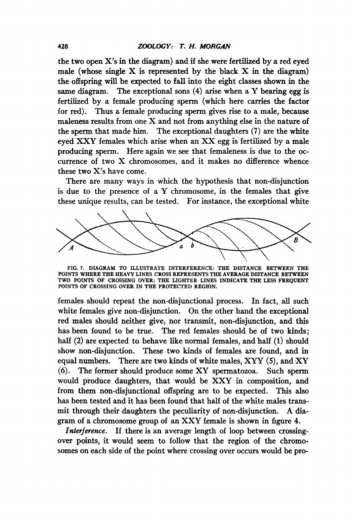the two open X's in the diagram) and if she were fertilized by a red eyed male (whose single  $X$  is represented by the black  $X$  in the diagram) the offspring will be expected to fall into the eight classes shown in the same diagram. The exceptional sons (4) arise when <sup>a</sup> Y bearing egg is fertilized by a female producing sperm (which here carries the factor for red). Thus a female producing sperm gives rise to a male, because maleness results from one X and not from anything else in the nature of the sperm that made him. The exceptional daughters (7) are the white eyed XXY females which arise when an XX egg is fertilized by <sup>a</sup> male producing sperm. Here again we see that femaleness is due to the occurrence of two X chromosomes, and it makes no difference whence these two X's have come.

There are many ways in which the hypothesis that non-disjunction is due to the presence of <sup>a</sup> Y chromosome, in the females that give these unique results, can be tested. For instance, the exceptional white



FIG. 7. DIAGRAM TO ILLUSTRATE INTERFERENCE: THE DISTANCE BETWEEN THE POINTS WHERE THE HEAVY LINES CROSS REPRESENTS THE AVERAGE DISTANCE BETWEEN TWO POINTS OF CROSSING OVER: THE LIGHTER LINES INDICATE THE LESS FREQUENT POINTS OF CROSSING OVER IN THE PROTECTED REGION.

females should repeat the non-disjunctional process. In fact, all such white females give non-disjunction. On the other hand the exceptional red males should neither give, nor transmit, non-disjunction, and this has been found to be true. The red females should be of two kinds; half (2) are expected to behave like normal females, and half (1) should show non-disjunction. These two kinds of females are found, and in equal numbers. There are two kinds of white males,  $XYY$  (5), and  $XY$  (6). The former should produce some  $XY$  spermatozoa. Such sperm The former should produce some XY spermatozoa. Such sperm would produce daughters, that would be XXY in composition, and from them non-disjunctional offspring are to be expected. This also has been tested and it has been found that half of the white males transmit through their daughters the peculiarity of non-disjunction. A diagram of <sup>a</sup> chromosome group of an XXY female is shown in figure 4.

Interference. If there is an average length of loop between crossingover points, it would seem to follow that the region of the chromosomes on each side of the point where crossing over occurs would be pro